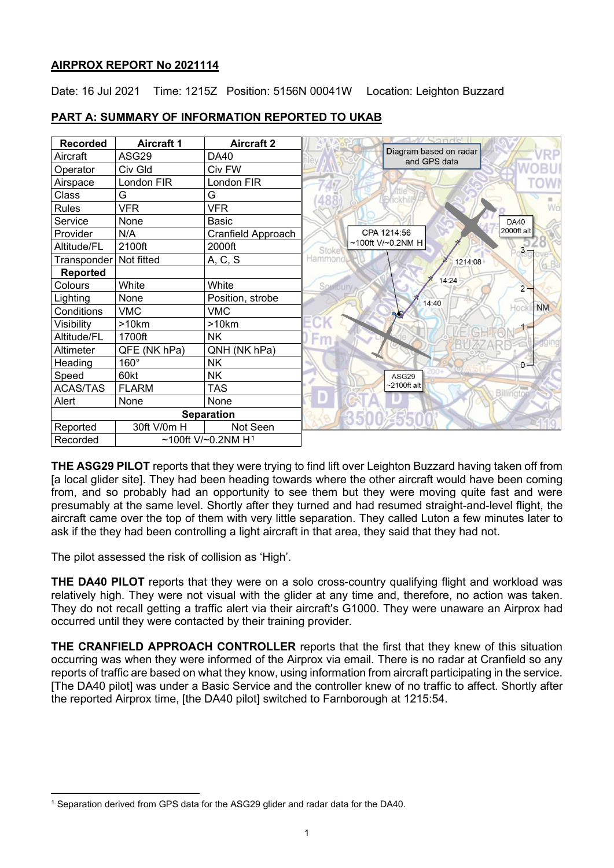# **AIRPROX REPORT No 2021114**

Date: 16 Jul 2021 Time: 1215Z Position: 5156N 00041W Location: Leighton Buzzard

| <b>Recorded</b>   | <b>Aircraft 1</b>              | <b>Aircraft 2</b>  | and'e'                                 |
|-------------------|--------------------------------|--------------------|----------------------------------------|
| Aircraft          | ASG29                          | DA40               | Diagram based on radar<br>and GPS data |
| Operator          | Civ Gld                        | Civ FW             |                                        |
| Airspace          | London FIR                     | London FIR         |                                        |
| Class             | G                              | G                  |                                        |
| <b>Rules</b>      | <b>VFR</b>                     | <b>VFR</b>         |                                        |
| Service           | None                           | Basic              | <b>DA40</b>                            |
| Provider          | N/A                            | Cranfield Approach | 2000ft alt<br>CPA 1214:56              |
| Altitude/FL       | 2100ft                         | 2000ft             | ~100ft V/~0.2NM H<br>Stoke             |
| Transponder       | Not fitted                     | A, C, S            | Hammond,<br>1214:08                    |
| <b>Reported</b>   |                                |                    |                                        |
| Colours           | White                          | White              | 14:24<br>Southu<br>$2 -$               |
| Lighting          | None                           | Position, strobe   | 14:40                                  |
| Conditions        | <b>VMC</b>                     | <b>VMC</b>         | <b>NM</b><br>Hock<br><b>QA</b>         |
| Visibility        | >10km                          | >10km              |                                        |
| Altitude/FL       | 1700ft                         | NK.                |                                        |
| Altimeter         | QFE (NK hPa)                   | QNH (NK hPa)       |                                        |
| Heading           | $160^\circ$                    | <b>NK</b>          | $0 -$                                  |
| Speed             | 60kt                           | NΚ                 | ASG29                                  |
| <b>ACAS/TAS</b>   | <b>FLARM</b>                   | TAS                | $-2100$ ft alt<br>Billington           |
| Alert             | None                           | None               |                                        |
| <b>Separation</b> |                                |                    |                                        |
| Reported          | 30ft V/0m H                    | Not Seen           |                                        |
| Recorded          | ~100ft V/~0.2NM H <sup>1</sup> |                    |                                        |

# **PART A: SUMMARY OF INFORMATION REPORTED TO UKAB**

**THE ASG29 PILOT** reports that they were trying to find lift over Leighton Buzzard having taken off from [a local glider site]. They had been heading towards where the other aircraft would have been coming from, and so probably had an opportunity to see them but they were moving quite fast and were presumably at the same level. Shortly after they turned and had resumed straight-and-level flight, the aircraft came over the top of them with very little separation. They called Luton a few minutes later to ask if the they had been controlling a light aircraft in that area, they said that they had not.

The pilot assessed the risk of collision as 'High'.

**THE DA40 PILOT** reports that they were on a solo cross-country qualifying flight and workload was relatively high. They were not visual with the glider at any time and, therefore, no action was taken. They do not recall getting a traffic alert via their aircraft's G1000. They were unaware an Airprox had occurred until they were contacted by their training provider.

**THE CRANFIELD APPROACH CONTROLLER** reports that the first that they knew of this situation occurring was when they were informed of the Airprox via email. There is no radar at Cranfield so any reports of traffic are based on what they know, using information from aircraft participating in the service. [The DA40 pilot] was under a Basic Service and the controller knew of no traffic to affect. Shortly after the reported Airprox time, [the DA40 pilot] switched to Farnborough at 1215:54.

<span id="page-0-0"></span><sup>1</sup> Separation derived from GPS data for the ASG29 glider and radar data for the DA40.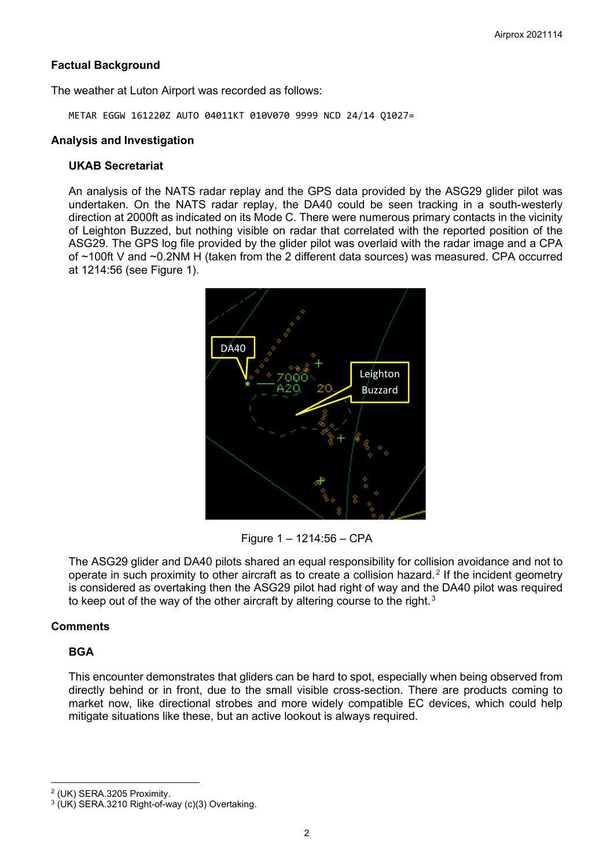## **Factual Background**

The weather at Luton Airport was recorded as follows:

METAR EGGW 161220Z AUTO 04011KT 010V070 9999 NCD 24/14 Q1027=

## **Analysis and Investigation**

## **UKAB Secretariat**

An analysis of the NATS radar replay and the GPS data provided by the ASG29 glider pilot was undertaken. On the NATS radar replay, the DA40 could be seen tracking in a south-westerly direction at 2000ft as indicated on its Mode C. There were numerous primary contacts in the vicinity of Leighton Buzzed, but nothing visible on radar that correlated with the reported position of the ASG29. The GPS log file provided by the glider pilot was overlaid with the radar image and a CPA of ~100ft V and ~0.2NM H (taken from the 2 different data sources) was measured. CPA occurred at 1214:56 (see Figure 1).



Figure 1 – 1214:56 – CPA

The ASG29 glider and DA40 pilots shared an equal responsibility for collision avoidance and not to operate in such proximity to other aircraft as to create a collision hazard. [2](#page-1-0) If the incident geometry is considered as overtaking then the ASG29 pilot had right of way and the DA40 pilot was required to keep out of the way of the other aircraft by altering course to the right.<sup>[3](#page-1-1)</sup>

## **Comments**

## **BGA**

This encounter demonstrates that gliders can be hard to spot, especially when being observed from directly behind or in front, due to the small visible cross-section. There are products coming to market now, like directional strobes and more widely compatible EC devices, which could help mitigate situations like these, but an active lookout is always required.

<span id="page-1-0"></span><sup>2</sup> (UK) SERA.3205 Proximity.

<span id="page-1-1"></span><sup>3</sup> (UK) SERA.3210 Right-of-way (c)(3) Overtaking.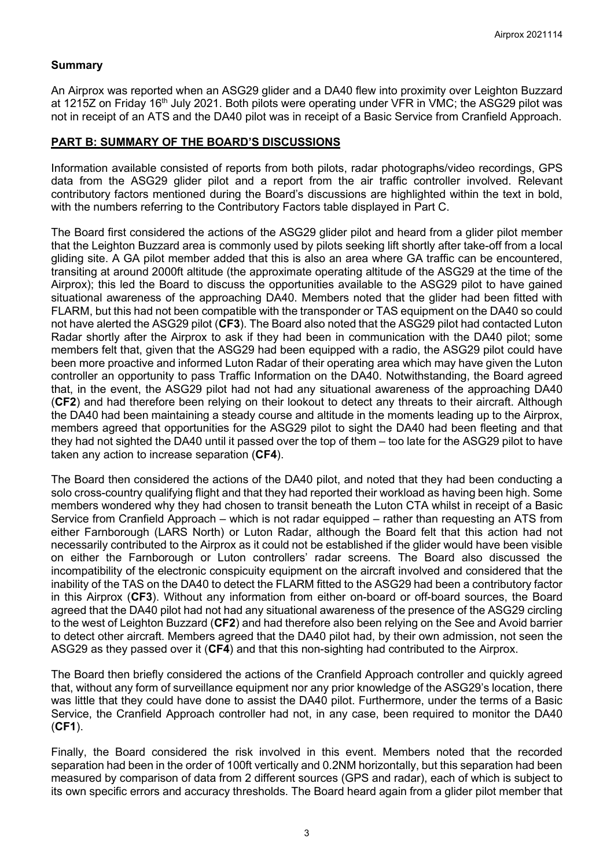### **Summary**

An Airprox was reported when an ASG29 glider and a DA40 flew into proximity over Leighton Buzzard at 1215Z on Friday 16<sup>th</sup> July 2021. Both pilots were operating under VFR in VMC; the ASG29 pilot was not in receipt of an ATS and the DA40 pilot was in receipt of a Basic Service from Cranfield Approach.

### **PART B: SUMMARY OF THE BOARD'S DISCUSSIONS**

Information available consisted of reports from both pilots, radar photographs/video recordings, GPS data from the ASG29 glider pilot and a report from the air traffic controller involved. Relevant contributory factors mentioned during the Board's discussions are highlighted within the text in bold, with the numbers referring to the Contributory Factors table displayed in Part C.

The Board first considered the actions of the ASG29 glider pilot and heard from a glider pilot member that the Leighton Buzzard area is commonly used by pilots seeking lift shortly after take-off from a local gliding site. A GA pilot member added that this is also an area where GA traffic can be encountered, transiting at around 2000ft altitude (the approximate operating altitude of the ASG29 at the time of the Airprox); this led the Board to discuss the opportunities available to the ASG29 pilot to have gained situational awareness of the approaching DA40. Members noted that the glider had been fitted with FLARM, but this had not been compatible with the transponder or TAS equipment on the DA40 so could not have alerted the ASG29 pilot (**CF3**). The Board also noted that the ASG29 pilot had contacted Luton Radar shortly after the Airprox to ask if they had been in communication with the DA40 pilot; some members felt that, given that the ASG29 had been equipped with a radio, the ASG29 pilot could have been more proactive and informed Luton Radar of their operating area which may have given the Luton controller an opportunity to pass Traffic Information on the DA40. Notwithstanding, the Board agreed that, in the event, the ASG29 pilot had not had any situational awareness of the approaching DA40 (**CF2**) and had therefore been relying on their lookout to detect any threats to their aircraft. Although the DA40 had been maintaining a steady course and altitude in the moments leading up to the Airprox, members agreed that opportunities for the ASG29 pilot to sight the DA40 had been fleeting and that they had not sighted the DA40 until it passed over the top of them – too late for the ASG29 pilot to have taken any action to increase separation (**CF4**).

The Board then considered the actions of the DA40 pilot, and noted that they had been conducting a solo cross-country qualifying flight and that they had reported their workload as having been high. Some members wondered why they had chosen to transit beneath the Luton CTA whilst in receipt of a Basic Service from Cranfield Approach – which is not radar equipped – rather than requesting an ATS from either Farnborough (LARS North) or Luton Radar, although the Board felt that this action had not necessarily contributed to the Airprox as it could not be established if the glider would have been visible on either the Farnborough or Luton controllers' radar screens. The Board also discussed the incompatibility of the electronic conspicuity equipment on the aircraft involved and considered that the inability of the TAS on the DA40 to detect the FLARM fitted to the ASG29 had been a contributory factor in this Airprox (**CF3**). Without any information from either on-board or off-board sources, the Board agreed that the DA40 pilot had not had any situational awareness of the presence of the ASG29 circling to the west of Leighton Buzzard (**CF2**) and had therefore also been relying on the See and Avoid barrier to detect other aircraft. Members agreed that the DA40 pilot had, by their own admission, not seen the ASG29 as they passed over it (**CF4**) and that this non-sighting had contributed to the Airprox.

The Board then briefly considered the actions of the Cranfield Approach controller and quickly agreed that, without any form of surveillance equipment nor any prior knowledge of the ASG29's location, there was little that they could have done to assist the DA40 pilot. Furthermore, under the terms of a Basic Service, the Cranfield Approach controller had not, in any case, been required to monitor the DA40 (**CF1**).

Finally, the Board considered the risk involved in this event. Members noted that the recorded separation had been in the order of 100ft vertically and 0.2NM horizontally, but this separation had been measured by comparison of data from 2 different sources (GPS and radar), each of which is subject to its own specific errors and accuracy thresholds. The Board heard again from a glider pilot member that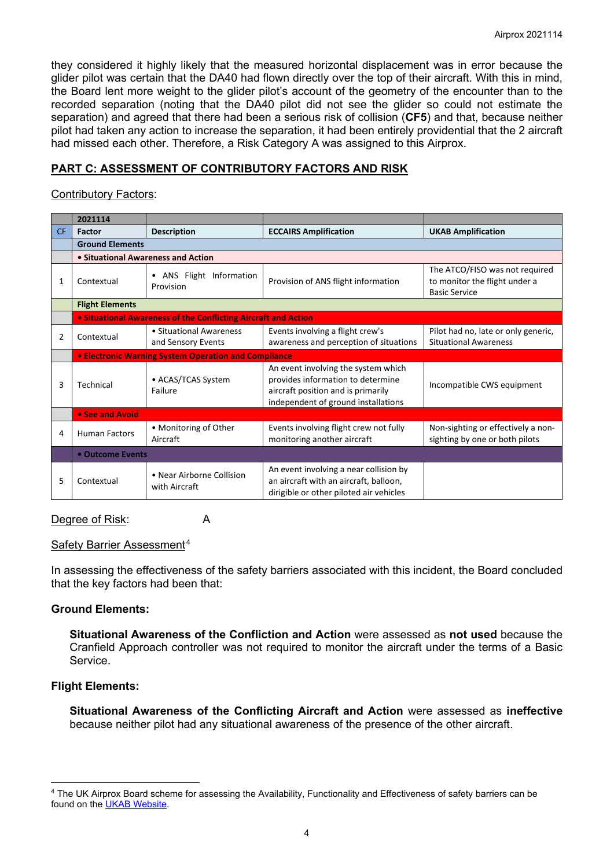they considered it highly likely that the measured horizontal displacement was in error because the glider pilot was certain that the DA40 had flown directly over the top of their aircraft. With this in mind, the Board lent more weight to the glider pilot's account of the geometry of the encounter than to the recorded separation (noting that the DA40 pilot did not see the glider so could not estimate the separation) and agreed that there had been a serious risk of collision (**CF5**) and that, because neither pilot had taken any action to increase the separation, it had been entirely providential that the 2 aircraft had missed each other. Therefore, a Risk Category A was assigned to this Airprox.

# **PART C: ASSESSMENT OF CONTRIBUTORY FACTORS AND RISK**

## Contributory Factors:

|     | 2021114                            |                                                                |                                                                                                                                                       |                                                                                         |  |  |  |
|-----|------------------------------------|----------------------------------------------------------------|-------------------------------------------------------------------------------------------------------------------------------------------------------|-----------------------------------------------------------------------------------------|--|--|--|
| CF. | Factor                             | <b>Description</b>                                             | <b>ECCAIRS Amplification</b>                                                                                                                          | <b>UKAB Amplification</b>                                                               |  |  |  |
|     | <b>Ground Elements</b>             |                                                                |                                                                                                                                                       |                                                                                         |  |  |  |
|     | • Situational Awareness and Action |                                                                |                                                                                                                                                       |                                                                                         |  |  |  |
| 1   | Contextual                         | ANS Flight Information<br>$\bullet$<br>Provision               | Provision of ANS flight information                                                                                                                   | The ATCO/FISO was not required<br>to monitor the flight under a<br><b>Basic Service</b> |  |  |  |
|     | <b>Flight Elements</b>             |                                                                |                                                                                                                                                       |                                                                                         |  |  |  |
|     |                                    | • Situational Awareness of the Conflicting Aircraft and Action |                                                                                                                                                       |                                                                                         |  |  |  |
| 2   | Contextual                         | • Situational Awareness<br>and Sensory Events                  | Events involving a flight crew's<br>awareness and perception of situations                                                                            | Pilot had no, late or only generic,<br><b>Situational Awareness</b>                     |  |  |  |
|     |                                    | <b>• Electronic Warning System Operation and Compliance</b>    |                                                                                                                                                       |                                                                                         |  |  |  |
| 3   | Technical                          | • ACAS/TCAS System<br>Failure                                  | An event involving the system which<br>provides information to determine<br>aircraft position and is primarily<br>independent of ground installations | Incompatible CWS equipment                                                              |  |  |  |
|     | • See and Avoid                    |                                                                |                                                                                                                                                       |                                                                                         |  |  |  |
| 4   | <b>Human Factors</b>               | • Monitoring of Other<br>Aircraft                              | Events involving flight crew not fully<br>monitoring another aircraft                                                                                 | Non-sighting or effectively a non-<br>sighting by one or both pilots                    |  |  |  |
|     | • Outcome Events                   |                                                                |                                                                                                                                                       |                                                                                         |  |  |  |
| 5   | Contextual                         | • Near Airborne Collision<br>with Aircraft                     | An event involving a near collision by<br>an aircraft with an aircraft, balloon,<br>dirigible or other piloted air vehicles                           |                                                                                         |  |  |  |

## Degree of Risk: A

#### Safety Barrier Assessment [4](#page-3-0)

In assessing the effectiveness of the safety barriers associated with this incident, the Board concluded that the key factors had been that:

## **Ground Elements:**

**Situational Awareness of the Confliction and Action** were assessed as **not used** because the Cranfield Approach controller was not required to monitor the aircraft under the terms of a Basic Service.

#### **Flight Elements:**

**Situational Awareness of the Conflicting Aircraft and Action** were assessed as **ineffective** because neither pilot had any situational awareness of the presence of the other aircraft.

<span id="page-3-0"></span><sup>4</sup> The UK Airprox Board scheme for assessing the Availability, Functionality and Effectiveness of safety barriers can be found on the [UKAB Website.](http://www.airproxboard.org.uk/Learn-more/Airprox-Barrier-Assessment/)